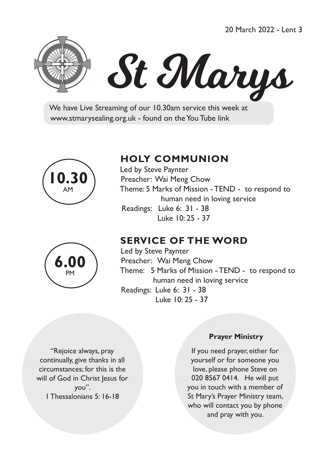20 March 2022 - Lent 3



# St Marys

 We have Live Streaming of our 10.30am service this week at www.stmarysealing.org.uk - found on the You Tube link



# **6.00** PM

# **HOLY COMMUNION**

 Led by Steve Paynter Preacher: Wai Meng Chow Theme: 5 Marks of Mission - TEND - to respond to human need in loving service Readings: Luke 6: 31 - 38 Luke 10: 25 - 37

# **SERVICE OF THE WORD**

 Led by Steve Paynter Preacher: Wai Meng Chow Theme: 5 Marks of Mission - TEND - to respond to human need in loving service Readings: Luke 6: 31 - 38 Luke 10: 25 - 37

"Rejoice always, pray continually, give thanks in all circumstances; for this is the will of God in Christ Jesus for you". 1 Thessalonians 5: 16-18

#### **Prayer Ministry**

If you need prayer, either for yourself or for someone you love, please phone Steve on 020 8567 0414. He will put you in touch with a member of St Mary's Prayer Ministry team, who will contact you by phone and pray with you.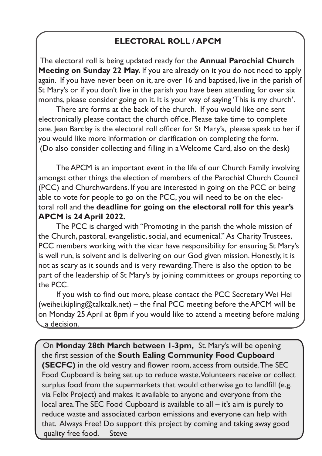# **ELECTORAL ROLL / APCM**

The electoral roll is being updated ready for the **Annual Parochial Church Meeting on Sunday 22 May.** If you are already on it you do not need to apply again. If you have never been on it, are over 16 and baptised, live in the parish of St Mary's or if you don't live in the parish you have been attending for over six months, please consider going on it. It is your way of saying 'This is my church'.

There are forms at the back of the church. If you would like one sent electronically please contact the church office. Please take time to complete one. Jean Barclay is the electoral roll officer for St Mary's, please speak to her if you would like more information or clarification on completing the form. (Do also consider collecting and filling in a Welcome Card, also on the desk)

The APCM is an important event in the life of our Church Family involving amongst other things the election of members of the Parochial Church Council (PCC) and Churchwardens. If you are interested in going on the PCC or being able to vote for people to go on the PCC, you will need to be on the electoral roll and the **deadline for going on the electoral roll for this year's APCM is 24 April 2022.**

The PCC is charged with "Promoting in the parish the whole mission of the Church, pastoral, evangelistic, social, and ecumenical." As Charity Trustees, PCC members working with the vicar have responsibility for ensuring St Mary's is well run, is solvent and is delivering on our God given mission. Honestly, it is not as scary as it sounds and is very rewarding. There is also the option to be part of the leadership of St Mary's by joining committees or groups reporting to the PCC.

If you wish to find out more, please contact the PCC Secretary Wei Hei (weihei.kipling@talktalk.net) – the final PCC meeting before the APCM will be on Monday 25 April at 8pm if you would like to attend a meeting before making a decision.

On **Monday 28th March between 1-3pm,** St. Mary's will be opening the first session of the **South Ealing Community Food Cupboard (SECFC)** in the old vestry and flower room, access from outside. The SEC Food Cupboard is being set up to reduce waste. Volunteers receive or collect surplus food from the supermarkets that would otherwise go to landfill (e.g. via Felix Project) and makes it available to anyone and everyone from the local area. The SEC Food Cupboard is available to all – it's aim is purely to reduce waste and associated carbon emissions and everyone can help with that. Always Free! Do support this project by coming and taking away good quality free food. Steve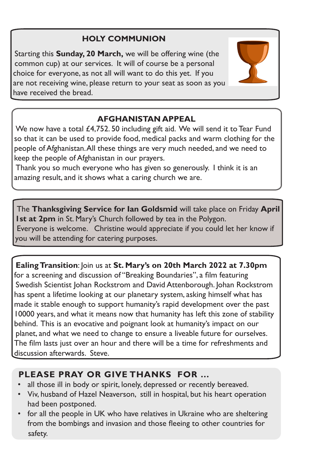# **HOLY COMMUNION**

Starting this **Sunday, 20 March,** we will be offering wine (the common cup) at our services. It will of course be a personal choice for everyone, as not all will want to do this yet. If you are not receiving wine, please return to your seat as soon as you have received the bread.



# **AFGHANISTAN APPEAL**

We now have a total £4,752. 50 including gift aid. We will send it to Tear Fund so that it can be used to provide food, medical packs and warm clothing for the people of Afghanistan. All these things are very much needed, and we need to keep the people of Afghanistan in our prayers.

Thank you so much everyone who has given so generously. I think it is an amazing result, and it shows what a caring church we are.

The **Thanksgiving Service for Ian Goldsmid** will take place on Friday **April 1st at 2pm** in St. Mary's Church followed by tea in the Polygon. Everyone is welcome. Christine would appreciate if you could let her know if you will be attending for catering purposes.

**Ealing Transition**: Join us at **St. Mary's on 20th March 2022 at 7.30pm**  for a screening and discussion of "Breaking Boundaries", a film featuring Swedish Scientist Johan Rockstrom and David Attenborough. Johan Rockstrom has spent a lifetime looking at our planetary system, asking himself what has made it stable enough to support humanity's rapid development over the past 10000 years, and what it means now that humanity has left this zone of stability behind. This is an evocative and poignant look at humanity's impact on our planet, and what we need to change to ensure a liveable future for ourselves. The film lasts just over an hour and there will be a time for refreshments and discussion afterwards. Steve.

# **PLEASE PRAY OR GIVE THANKS FOR …**

- all those ill in body or spirit, lonely, depressed or recently bereaved.
- Viv, husband of Hazel Neaverson, still in hospital, but his heart operation had been postponed.
- for all the people in UK who have relatives in Ukraine who are sheltering from the bombings and invasion and those fleeing to other countries for safety.